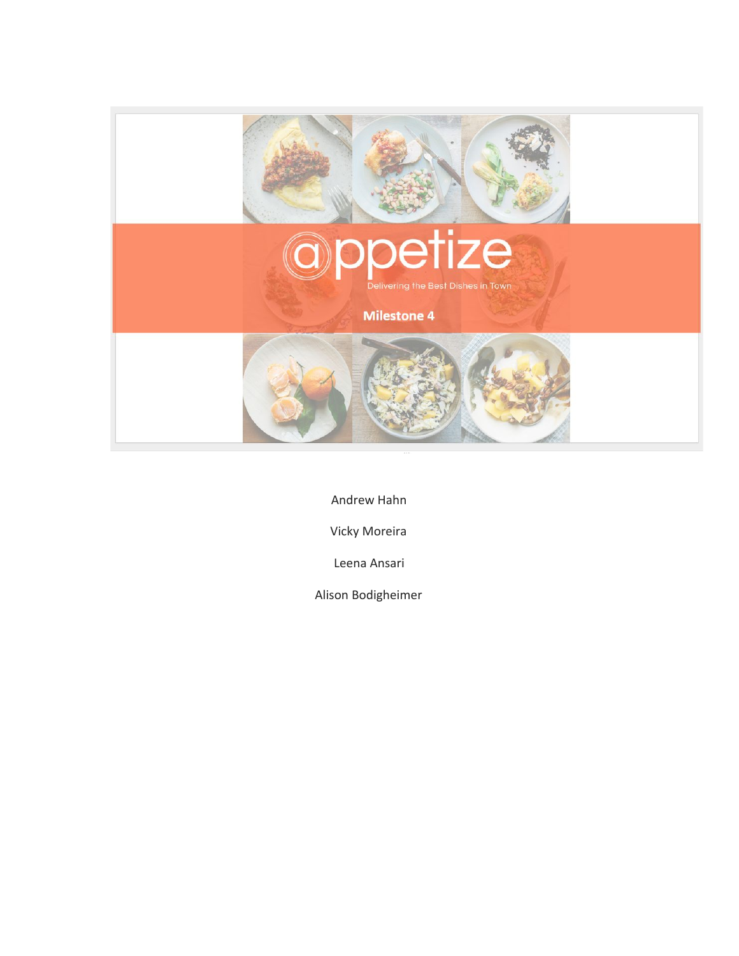

Andrew Hahn

Vicky Moreira

Leena Ansari

Alison Bodigheimer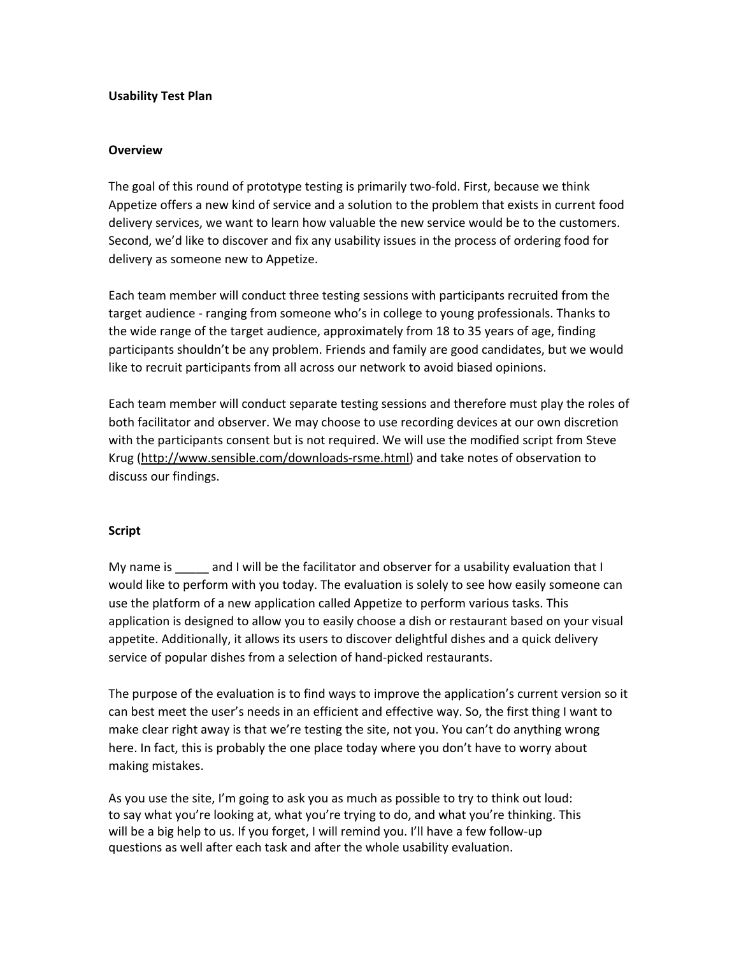### **Usability Test Plan**

### **Overview**

The goal of this round of prototype testing is primarily two-fold. First, because we think Appetize offers a new kind of service and a solution to the problem that exists in current food delivery services, we want to learn how valuable the new service would be to the customers. Second, we'd like to discover and fix any usability issues in the process of ordering food for delivery as someone new to Appetize.

Each team member will conduct three testing sessions with participants recruited from the target audience ‐ ranging from someone who's in college to young professionals. Thanks to the wide range of the target audience, approximately from 18 to 35 years of age, finding participants shouldn't be any problem. Friends and family are good candidates, but we would like to recruit participants from all across our network to avoid biased opinions.

Each team member will conduct separate testing sessions and therefore must play the roles of both facilitator and observer. We may choose to use recording devices at our own discretion with the participants consent but is not required. We will use the modified script from Steve Krug (http://www.sensible.com/downloads-rsme.html) and take notes of observation to discuss our findings.

### **Script**

My name is and I will be the facilitator and observer for a usability evaluation that I would like to perform with you today. The evaluation is solely to see how easily someone can use the platform of a new application called Appetize to perform various tasks. This application is designed to allow you to easily choose a dish or restaurant based on your visual appetite. Additionally, it allows its users to discover delightful dishes and a quick delivery service of popular dishes from a selection of hand‐picked restaurants.

The purpose of the evaluation is to find ways to improve the application's current version so it can best meet the user's needs in an efficient and effective way. So, the first thing I want to make clear right away is that we're testing the site, not you. You can't do anything wrong here. In fact, this is probably the one place today where you don't have to worry about making mistakes.

As you use the site, I'm going to ask you as much as possible to try to think out loud: to say what you're looking at, what you're trying to do, and what you're thinking. This will be a big help to us. If you forget, I will remind you. I'll have a few follow‐up questions as well after each task and after the whole usability evaluation.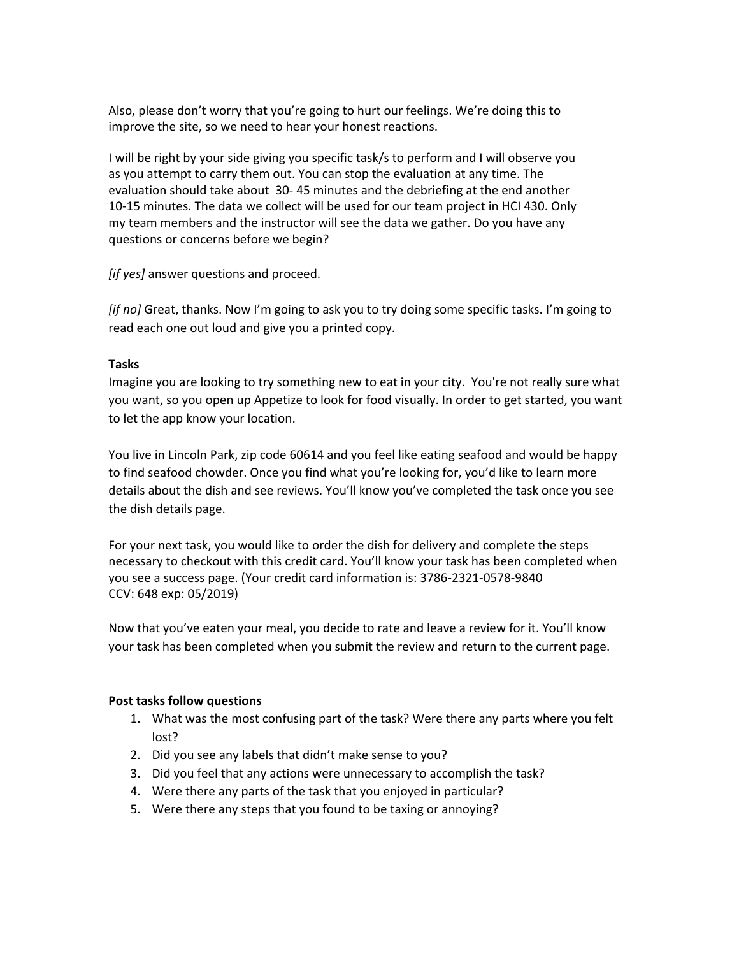Also, please don't worry that you're going to hurt our feelings. We're doing this to improve the site, so we need to hear your honest reactions.

I will be right by your side giving you specific task/s to perform and I will observe you as you attempt to carry them out. You can stop the evaluation at any time. The evaluation should take about 30‐ 45 minutes and the debriefing at the end another 10‐15 minutes. The data we collect will be used for our team project in HCI 430. Only my team members and the instructor will see the data we gather. Do you have any questions or concerns before we begin?

*[if yes]* answer questions and proceed.

*[if no]* Great, thanks. Now I'm going to ask you to try doing some specific tasks. I'm going to read each one out loud and give you a printed copy.

### **Tasks**

Imagine you are looking to try something new to eat in your city. You're not really sure what you want, so you open up Appetize to look for food visually. In order to get started, you want to let the app know your location.

You live in Lincoln Park, zip code 60614 and you feel like eating seafood and would be happy to find seafood chowder. Once you find what you're looking for, you'd like to learn more details about the dish and see reviews. You'll know you've completed the task once you see the dish details page.

For your next task, you would like to order the dish for delivery and complete the steps necessary to checkout with this credit card. You'll know your task has been completed when you see a success page. (Your credit card information is: 3786‐2321‐0578‐9840 CCV: 648 exp: 05/2019)

Now that you've eaten your meal, you decide to rate and leave a review for it. You'll know your task has been completed when you submit the review and return to the current page.

## **Post tasks follow questions**

- 1. What was the most confusing part of the task? Were there any parts where you felt lost?
- 2. Did you see any labels that didn't make sense to you?
- 3. Did you feel that any actions were unnecessary to accomplish the task?
- 4. Were there any parts of the task that you enjoyed in particular?
- 5. Were there any steps that you found to be taxing or annoying?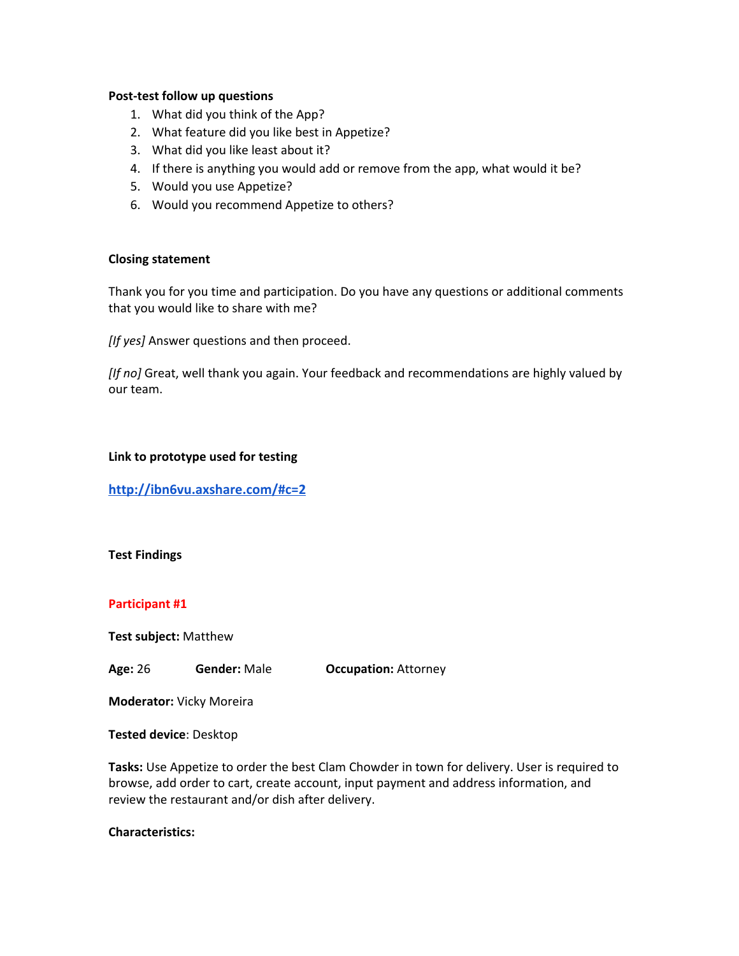#### **Post‐test follow up questions**

- 1. What did you think of the App?
- 2. What feature did you like best in Appetize?
- 3. What did you like least about it?
- 4. If there is anything you would add or remove from the app, what would it be?
- 5. Would you use Appetize?
- 6. Would you recommend Appetize to others?

#### **Closing statement**

Thank you for you time and participation. Do you have any questions or additional comments that you would like to share with me?

*[If yes]* Answer questions and then proceed.

*[If no]* Great, well thank you again. Your feedback and recommendations are highly valued by our team.

**Link to prototype used for testing**

**<http://ibn6vu.axshare.com/#c=2>**

#### **Test Findings**

### **Participant #1**

**Test subject: Matthew** 

**Age:**26 **Gender:**Male **Occupation:**Attorney

**Moderator:**Vicky Moreira

**Tested device**: Desktop

**Tasks:**Use Appetize to order the best Clam Chowder in town for delivery. User is required to browse, add order to cart, create account, input payment and address information, and review the restaurant and/or dish after delivery.

#### **Characteristics:**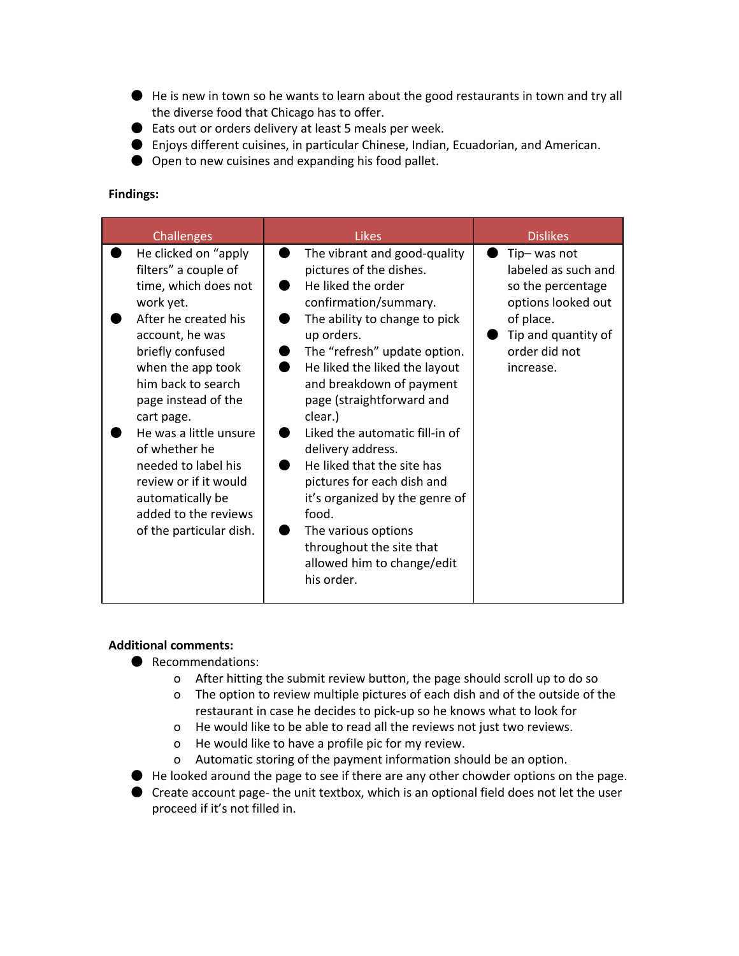- He is new in town so he wants to learn about the good restaurants in town and try all the diverse food that Chicago has to offer.
- Eats out or orders delivery at least 5 meals per week.
- Enjoys different cuisines, in particular Chinese, Indian, Ecuadorian, and American.
- Open to new cuisines and expanding his food pallet.

### **Findings:**

### **Additional comments:**

- Recommendations:
	- o After hitting the submit review button, the page should scroll up to do so
	- o The option to review multiple pictures of each dish and of the outside of the restaurant in case he decides to pick‐up so he knows what to look for
	- o He would like to be able to read all the reviews not just two reviews.
	- o He would like to have a profile pic for my review.
	- o Automatic storing of the payment information should be an option.
- He looked around the page to see if there are any other chowder options on the page.
- Create account page- the unit textbox, which is an optional field does not let the user proceed if it's not filled in.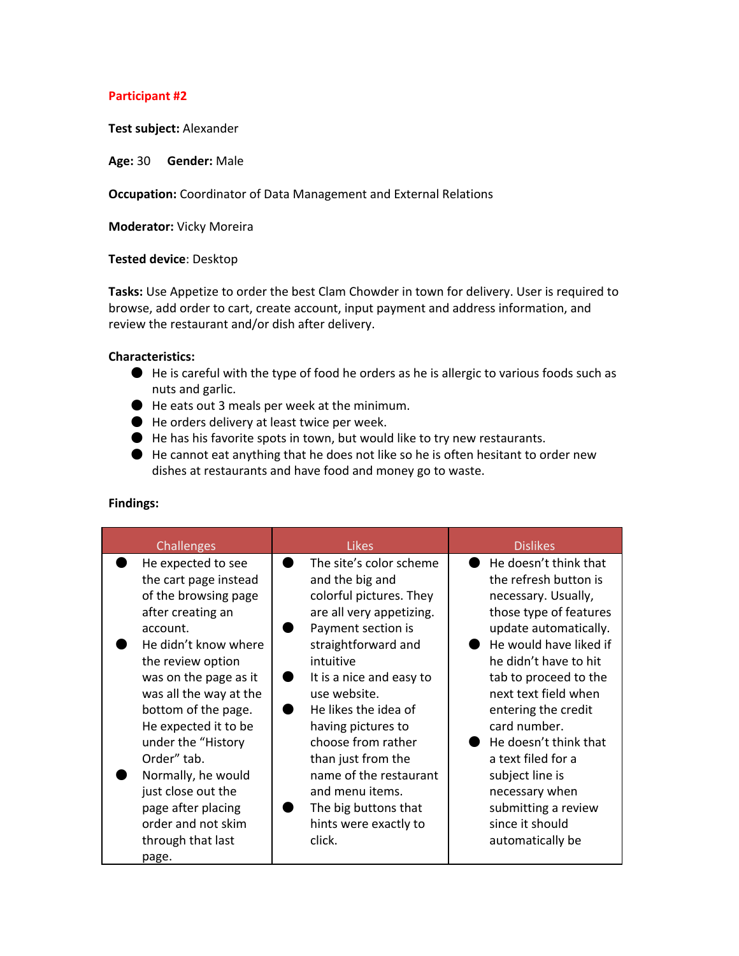### **Participant #2**

**Test subject:**Alexander

**Age:**30 **Gender:**Male

**Occupation:**Coordinator of Data Management and External Relations

**Moderator: Vicky Moreira** 

#### **Tested device**: Desktop

**Tasks:**Use Appetize to order the best Clam Chowder in town for delivery. User is required to browse, add order to cart, create account, input payment and address information, and review the restaurant and/or dish after delivery.

#### **Characteristics:**

- He is careful with the type of food he orders as he is allergic to various foods such as nuts and garlic.
- He eats out 3 meals per week at the minimum.
- He orders delivery at least twice per week.
- He has his favorite spots in town, but would like to try new restaurants.
- $\bullet$  He cannot eat anything that he does not like so he is often hesitant to order new dishes at restaurants and have food and money go to waste.

| Challenges                                                                                                                                                                                                                                                                                                                                                                                                     | <b>Likes</b>                                                                                                                                                                                                                                                                                                                                                                                              | <b>Dislikes</b>                                                                                                                                                                                                                                                                                                                                                                                                       |
|----------------------------------------------------------------------------------------------------------------------------------------------------------------------------------------------------------------------------------------------------------------------------------------------------------------------------------------------------------------------------------------------------------------|-----------------------------------------------------------------------------------------------------------------------------------------------------------------------------------------------------------------------------------------------------------------------------------------------------------------------------------------------------------------------------------------------------------|-----------------------------------------------------------------------------------------------------------------------------------------------------------------------------------------------------------------------------------------------------------------------------------------------------------------------------------------------------------------------------------------------------------------------|
| He expected to see<br>the cart page instead<br>of the browsing page<br>after creating an<br>account.<br>He didn't know where<br>the review option<br>was on the page as it<br>was all the way at the<br>bottom of the page.<br>He expected it to be<br>under the "History<br>Order" tab.<br>Normally, he would<br>just close out the<br>page after placing<br>order and not skim<br>through that last<br>page. | The site's color scheme<br>and the big and<br>colorful pictures. They<br>are all very appetizing.<br>Payment section is<br>straightforward and<br>intuitive<br>It is a nice and easy to<br>use website.<br>He likes the idea of<br>having pictures to<br>choose from rather<br>than just from the<br>name of the restaurant<br>and menu items.<br>The big buttons that<br>hints were exactly to<br>click. | He doesn't think that<br>the refresh button is<br>necessary. Usually,<br>those type of features<br>update automatically.<br>He would have liked if<br>he didn't have to hit<br>tab to proceed to the<br>next text field when<br>entering the credit<br>card number.<br>He doesn't think that<br>a text filed for a<br>subject line is<br>necessary when<br>submitting a review<br>since it should<br>automatically be |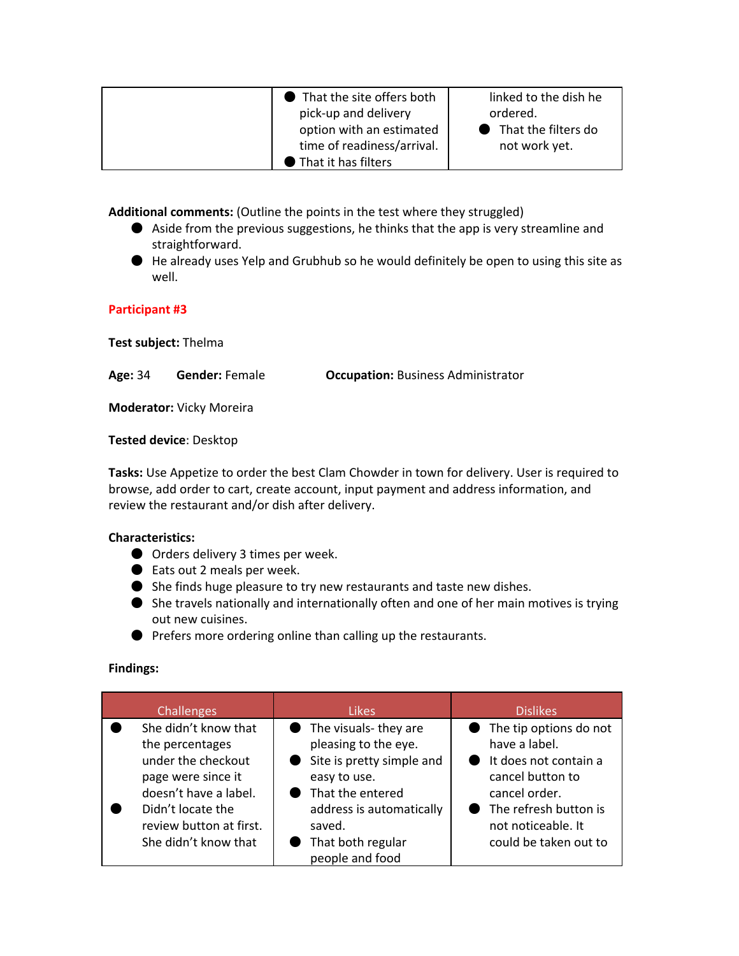| That the site offers both  | linked to the dish he |
|----------------------------|-----------------------|
| pick-up and delivery       | ordered.              |
| option with an estimated   | ● That the filters do |
| time of readiness/arrival. | not work yet.         |
| That it has filters        |                       |

**Additional comments:**(Outline the points in the test where they struggled)

- Aside from the previous suggestions, he thinks that the app is very streamline and straightforward.
- He already uses Yelp and Grubhub so he would definitely be open to using this site as well.

### **Participant #3**

**Test subject:**Thelma

**Age:**34 **Gender:**Female **Occupation:**Business Administrator

**Moderator: Vicky Moreira** 

**Tested device**: Desktop

**Tasks:**Use Appetize to order the best Clam Chowder in town for delivery. User is required to browse, add order to cart, create account, input payment and address information, and review the restaurant and/or dish after delivery.

### **Characteristics:**

- Orders delivery 3 times per week.
- Eats out 2 meals per week.
- She finds huge pleasure to try new restaurants and taste new dishes.
- She travels nationally and internationally often and one of her main motives is trying out new cuisines.
- Prefers more ordering online than calling up the restaurants.

| <b>Challenges</b>                                                                                                                                                                    | <b>Likes</b>                                                                                                                                                                                  | <b>Dislikes</b>                                                                                                                                                                   |
|--------------------------------------------------------------------------------------------------------------------------------------------------------------------------------------|-----------------------------------------------------------------------------------------------------------------------------------------------------------------------------------------------|-----------------------------------------------------------------------------------------------------------------------------------------------------------------------------------|
| She didn't know that<br>the percentages<br>under the checkout<br>page were since it<br>doesn't have a label.<br>Didn't locate the<br>review button at first.<br>She didn't know that | • The visuals-they are<br>pleasing to the eye.<br>Site is pretty simple and<br>easy to use.<br>That the entered<br>address is automatically<br>saved.<br>That both regular<br>people and food | • The tip options do not<br>have a label.<br>It does not contain a<br>cancel button to<br>cancel order.<br>• The refresh button is<br>not noticeable. It<br>could be taken out to |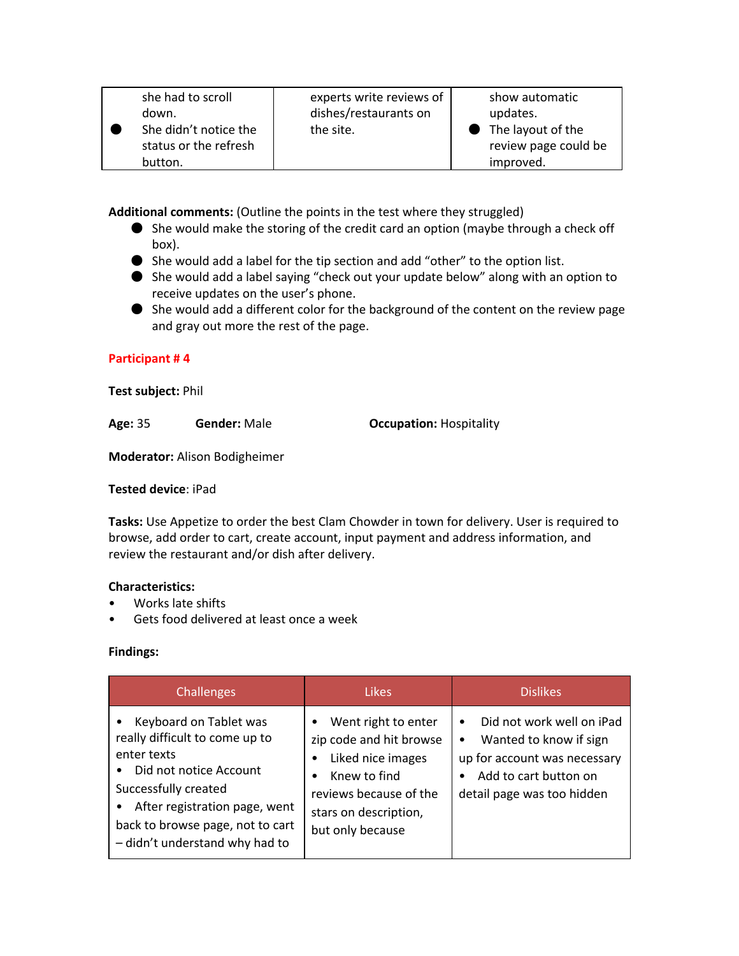| she had to scroll<br>down.<br>She didn't notice the<br>status or the refresh | experts write reviews of<br>dishes/restaurants on<br>the site. | show automatic<br>updates.<br>$\bullet$ The layout of the<br>review page could be |
|------------------------------------------------------------------------------|----------------------------------------------------------------|-----------------------------------------------------------------------------------|
| button.                                                                      |                                                                | improved.                                                                         |

**Additional comments:**(Outline the points in the test where they struggled)

- She would make the storing of the credit card an option (maybe through a check off box).
- She would add a label for the tip section and add "other" to the option list.
- She would add a label saying "check out your update below" along with an option to receive updates on the user's phone.
- She would add a different color for the background of the content on the review page and gray out more the rest of the page.

## **Participant # 4**

### **Test subject:**Phil

**Age:**35 **Gender:**Male **Occupation:**Hospitality

**Moderator:**Alison Bodigheimer

### **Tested device**: iPad

**Tasks:**Use Appetize to order the best Clam Chowder in town for delivery. User is required to browse, add order to cart, create account, input payment and address information, and review the restaurant and/or dish after delivery.

## **Characteristics:**

- Works late shifts
- Gets food delivered at least once a week

| <b>Challenges</b>                                                                                                                                                                                                                             | <b>Likes</b>                                                                                                                                                                         | <b>Dislikes</b>                                                                                                                                                      |
|-----------------------------------------------------------------------------------------------------------------------------------------------------------------------------------------------------------------------------------------------|--------------------------------------------------------------------------------------------------------------------------------------------------------------------------------------|----------------------------------------------------------------------------------------------------------------------------------------------------------------------|
| Keyboard on Tablet was<br>really difficult to come up to<br>enter texts<br>Did not notice Account<br>Successfully created<br>After registration page, went<br>$\bullet$<br>back to browse page, not to cart<br>- didn't understand why had to | Went right to enter<br>$\bullet$<br>zip code and hit browse<br>Liked nice images<br>Knew to find<br>$\bullet$<br>reviews because of the<br>stars on description,<br>but only because | Did not work well on iPad<br>$\bullet$<br>Wanted to know if sign<br>$\bullet$<br>up for account was necessary<br>Add to cart button on<br>detail page was too hidden |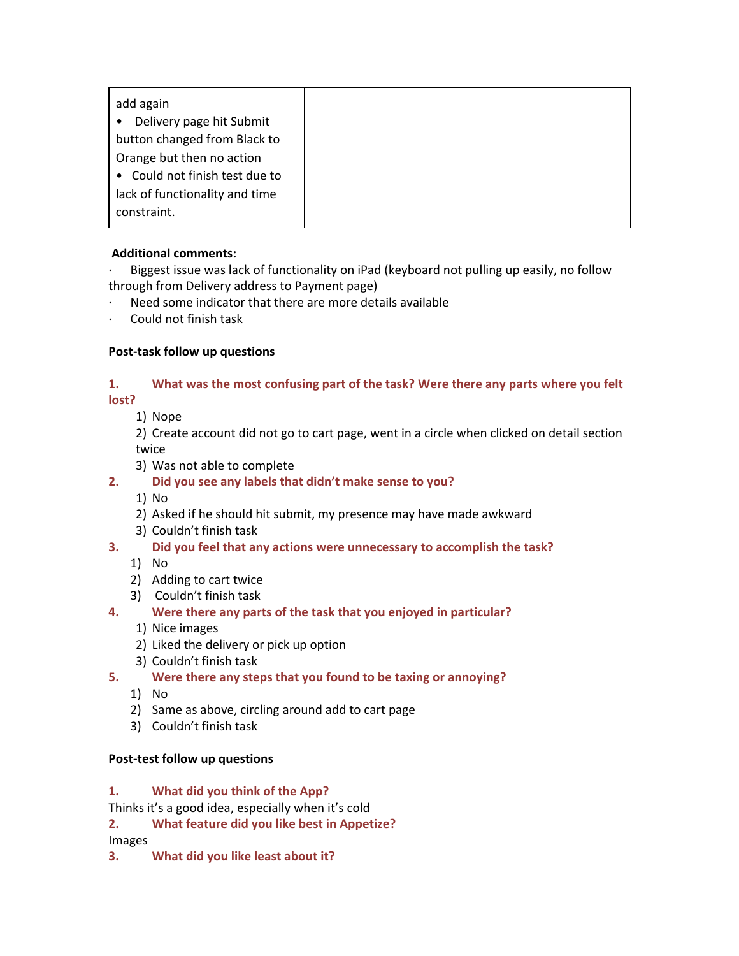| add again                             |  |
|---------------------------------------|--|
| Delivery page hit Submit<br>$\bullet$ |  |
| button changed from Black to          |  |
| Orange but then no action             |  |
| • Could not finish test due to        |  |
| lack of functionality and time        |  |
| constraint.                           |  |
|                                       |  |

## **Additional comments:**

∙ Biggest issue was lack of functionality on iPad (keyboard not pulling up easily, no follow through from Delivery address to Payment page)

- ∙ Need some indicator that there are more details available
- ∙ Could not finish task

## **Post‐task follow up questions**

## **1. What was the most confusing part of the task? Were there any parts where you felt lost?**

1) Nope

2) Create account did not go to cart page, went in a circle when clicked on detail section twice

- 3) Was not able to complete
- **2. Did you see any labels that didn't make sense to you?**
	- 1) No
	- 2) Asked if he should hit submit, my presence may have made awkward
	- 3) Couldn't finish task
- **3. Did you feel that any actions were unnecessary to accomplish the task?**
	- 1) No
	- 2) Adding to cart twice
	- 3) Couldn't finish task
- **4. Were there any parts of the task that you enjoyed in particular?**
	- 1) Nice images
	- 2) Liked the delivery or pick up option
	- 3) Couldn't finish task
- **5. Were there any steps that you found to be taxing or annoying?**
	- 1) No
	- 2) Same as above, circling around add to cart page
	- 3) Couldn't finish task

## **Post‐test follow up questions**

## **1. What did you think of the App?**

Thinks it's a good idea, especially when it's cold

**2. What feature did you like best in Appetize?**

Images

**3. What did you like least about it?**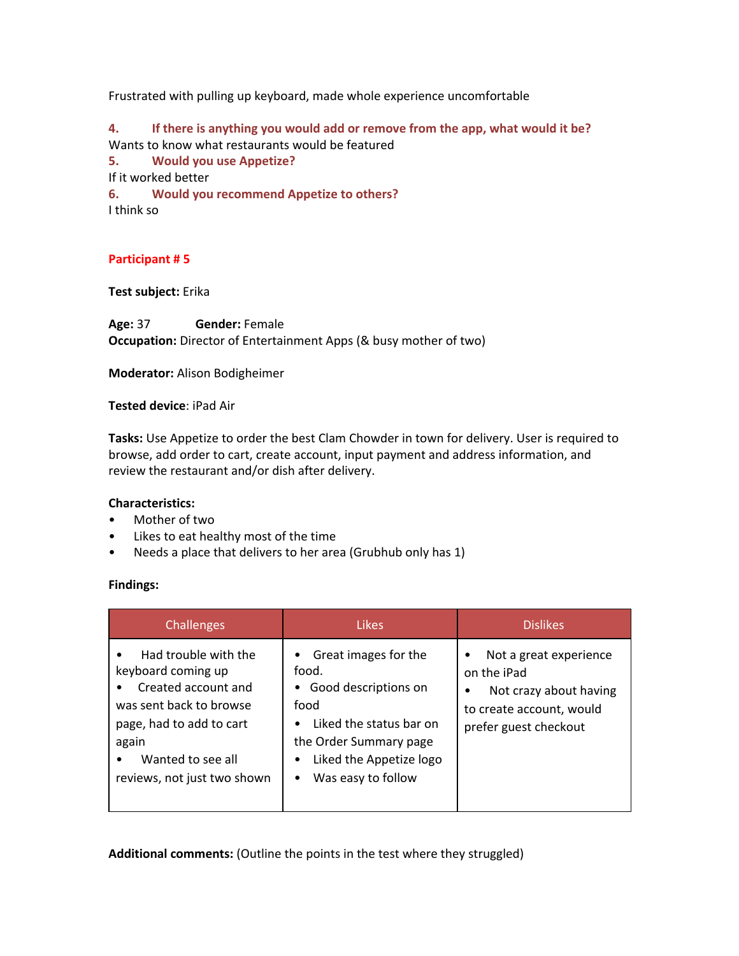Frustrated with pulling up keyboard, made whole experience uncomfortable

**4. If there is anything you would add or remove from the app, what would it be?** Wants to know what restaurants would be featured

**5. Would you use Appetize?**

If it worked better

**6. Would you recommend Appetize to others?** I think so

### **Participant # 5**

**Test subject:**Erika

**Age:**37 **Gender:**Female **Occupation:** Director of Entertainment Apps (& busy mother of two)

**Moderator:**Alison Bodigheimer

**Tested device**: iPad Air

**Tasks:**Use Appetize to order the best Clam Chowder in town for delivery. User is required to browse, add order to cart, create account, input payment and address information, and review the restaurant and/or dish after delivery.

### **Characteristics:**

- Mother of two
- Likes to eat healthy most of the time
- Needs a place that delivers to her area (Grubhub only has 1)

### **Findings:**

| <b>Challenges</b>                                                                                                                                                                     | Likes                                                                                                                                                                            | <b>Dislikes</b>                                                                                                           |
|---------------------------------------------------------------------------------------------------------------------------------------------------------------------------------------|----------------------------------------------------------------------------------------------------------------------------------------------------------------------------------|---------------------------------------------------------------------------------------------------------------------------|
| Had trouble with the<br>keyboard coming up<br>Created account and<br>was sent back to browse<br>page, had to add to cart<br>again<br>Wanted to see all<br>reviews, not just two shown | Great images for the<br>food.<br>Good descriptions on<br>food<br>Liked the status bar on<br>the Order Summary page<br>Liked the Appetize logo<br>Was easy to follow<br>$\bullet$ | Not a great experience<br>on the iPad<br>Not crazy about having<br>٠<br>to create account, would<br>prefer guest checkout |

**Additional comments:**(Outline the points in the test where they struggled)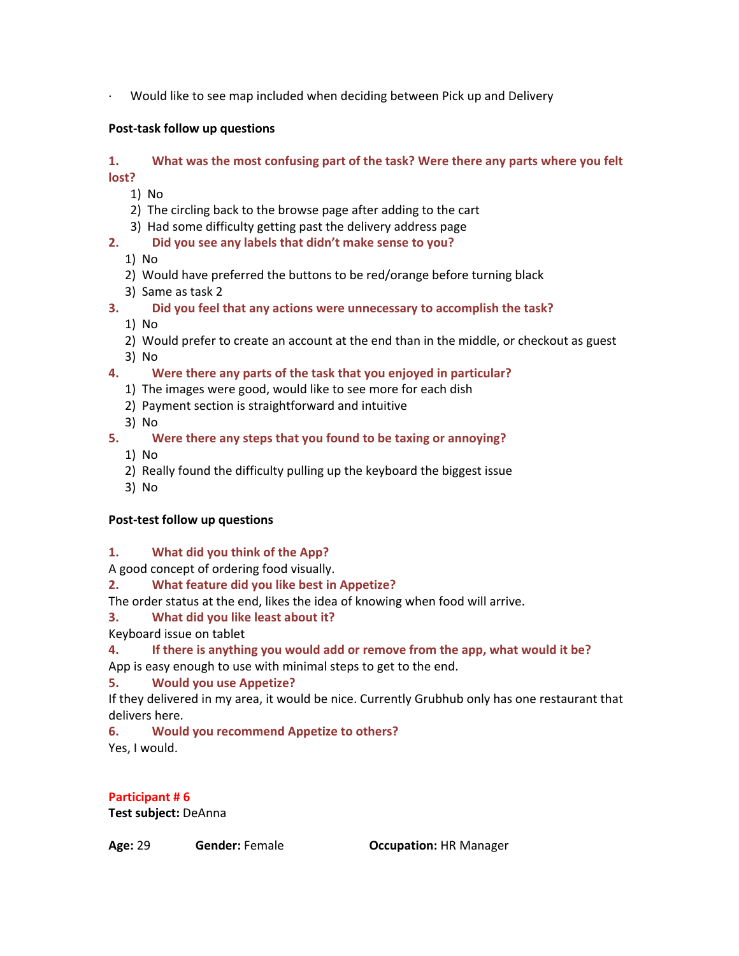∙ Would like to see map included when deciding between Pick up and Delivery

## **Post‐task follow up questions**

### **1. What was the most confusing part of the task? Were there any parts where you felt lost?**

1) No

- 2) The circling back to the browse page after adding to the cart
- 3) Had some difficulty getting past the delivery address page
- **2. Did you see any labels that didn't make sense to you?**
	- 1) No
	- 2) Would have preferred the buttons to be red/orange before turning black
	- 3) Same as task 2
- **3. Did you feel that any actions were unnecessary to accomplish the task?**
	- 1) No
	- 2) Would prefer to create an account at the end than in the middle, or checkout as guest 3) No
- **4. Were there any parts of the task that you enjoyed in particular?**
	- 1) The images were good, would like to see more for each dish
	- 2) Payment section is straightforward and intuitive
	- 3) No
- **5. Were there any steps that you found to be taxing or annoying?**
	- 1) No
	- 2) Really found the difficulty pulling up the keyboard the biggest issue
	- 3) No

## **Post‐test follow up questions**

**1. What did you think of the App?**

A good concept of ordering food visually.

- **2. What feature did you like best in Appetize?**
- The order status at the end, likes the idea of knowing when food will arrive.

## **3. What did you like least about it?**

Keyboard issue on tablet

## **4. If there is anything you would add or remove from the app, what would it be?**

App is easy enough to use with minimal steps to get to the end.

## **5. Would you use Appetize?**

If they delivered in my area, it would be nice. Currently Grubhub only has one restaurant that delivers here.

**6. Would you recommend Appetize to others?** Yes, I would.

**Participant # 6 Test subject:**DeAnna

**Age:**29 **Gender:**Female **Occupation:**HR Manager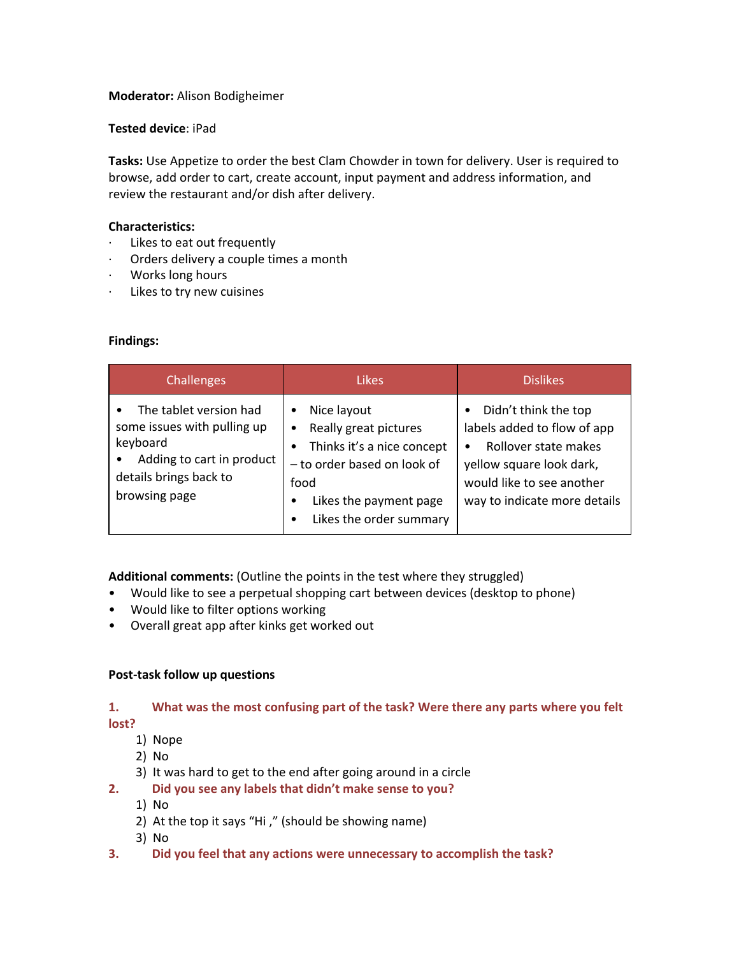### **Moderator:**Alison Bodigheimer

### **Tested device**: iPad

**Tasks:**Use Appetize to order the best Clam Chowder in town for delivery. User is required to browse, add order to cart, create account, input payment and address information, and review the restaurant and/or dish after delivery.

### **Characteristics:**

- ∙ Likes to eat out frequently
- ∙ Orders delivery a couple times a month
- ∙ Works long hours
- ∙ Likes to try new cuisines

### **Findings:**

| Challenges                                                                                                                                             | <b>Likes</b>                                                                                                                                                                          | <b>Dislikes</b>                                                                                                                                                                        |
|--------------------------------------------------------------------------------------------------------------------------------------------------------|---------------------------------------------------------------------------------------------------------------------------------------------------------------------------------------|----------------------------------------------------------------------------------------------------------------------------------------------------------------------------------------|
| The tablet version had<br>$\bullet$<br>some issues with pulling up<br>keyboard<br>Adding to cart in product<br>details brings back to<br>browsing page | Nice layout<br>٠<br>Really great pictures<br>٠<br>Thinks it's a nice concept<br>$\bullet$<br>- to order based on look of<br>food<br>Likes the payment page<br>Likes the order summary | Didn't think the top<br>$\bullet$<br>labels added to flow of app<br>Rollover state makes<br>٠<br>yellow square look dark,<br>would like to see another<br>way to indicate more details |

**Additional comments:**(Outline the points in the test where they struggled)

- Would like to see a perpetual shopping cart between devices (desktop to phone)
- Would like to filter options working
- Overall great app after kinks get worked out

### **Post‐task follow up questions**

## **1. What was the most confusing part of the task? Were there any parts where you felt lost?**

- 1) Nope
- 2) No
- 3) It was hard to get to the end after going around in a circle
- **2. Did you see any labels that didn't make sense to you?**
	- 1) No
	- 2) At the top it says "Hi ," (should be showing name)
	- 3) No
- **3. Did you feel that any actions were unnecessary to accomplish the task?**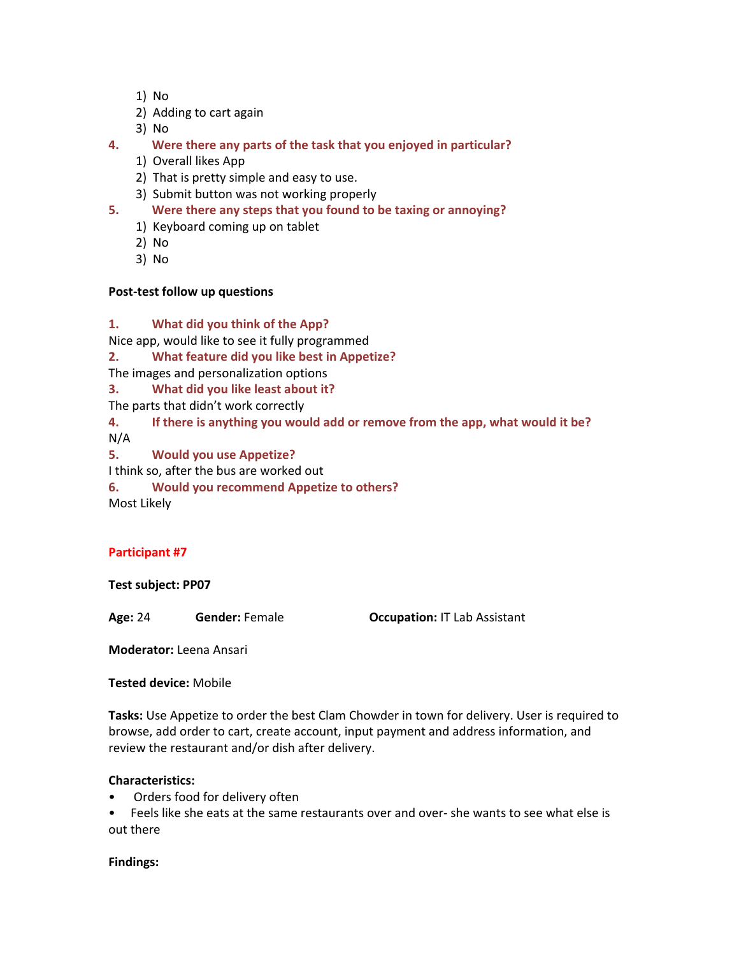- 1) No
- 2) Adding to cart again
- 3) No
- **4. Were there any parts of the task that you enjoyed in particular?**
	- 1) Overall likes App
	- 2) That is pretty simple and easy to use.
	- 3) Submit button was not working properly
- **5. Were there any steps that you found to be taxing or annoying?**
	- 1) Keyboard coming up on tablet
	- 2) No
	- 3) No

### **Post‐test follow up questions**

### **1. What did you think of the App?**

Nice app, would like to see it fully programmed

**2. What feature did you like best in Appetize?**

The images and personalization options

**3. What did you like least about it?**

The parts that didn't work correctly

**4. If there is anything you would add or remove from the app, what would it be?**

N/A

**5. Would you use Appetize?**

I think so, after the bus are worked out

**6. Would you recommend Appetize to others?** Most Likely

### **Participant #7**

**Test subject: PP07**

**Age:** 24 **Gender:** Female **Occupation:**IT Lab Assistant

**Moderator:** Leena Ansari

**Tested device:** Mobile

**Tasks:** Use Appetize to order the best Clam Chowder in town for delivery. User is required to browse, add order to cart, create account, input payment and address information, and review the restaurant and/or dish after delivery.

### **Characteristics:**

Orders food for delivery often

• Feels like she eats at the same restaurants over and over‐ she wants to see what else is out there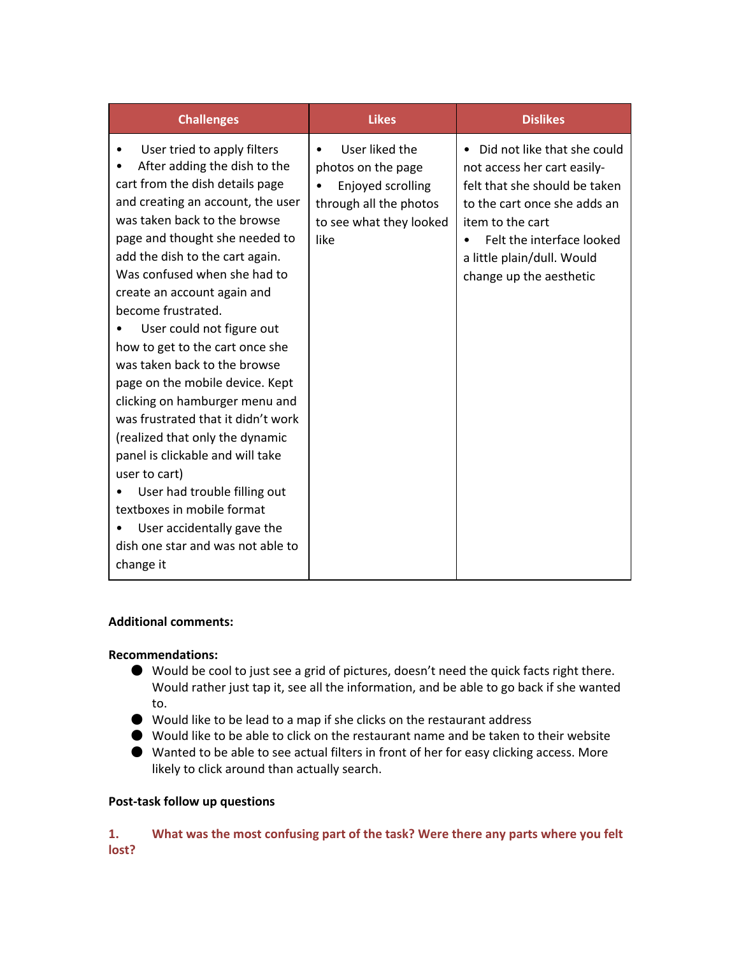| <b>Challenges</b>                                                                                                                                                                                                                                                                                                                                                                                                                                                                                                                                                                                                                                                                                                                                                                   | <b>Likes</b>                                                                                                           | <b>Dislikes</b>                                                                                                                                                                                                                                    |
|-------------------------------------------------------------------------------------------------------------------------------------------------------------------------------------------------------------------------------------------------------------------------------------------------------------------------------------------------------------------------------------------------------------------------------------------------------------------------------------------------------------------------------------------------------------------------------------------------------------------------------------------------------------------------------------------------------------------------------------------------------------------------------------|------------------------------------------------------------------------------------------------------------------------|----------------------------------------------------------------------------------------------------------------------------------------------------------------------------------------------------------------------------------------------------|
| User tried to apply filters<br>٠<br>After adding the dish to the<br>cart from the dish details page<br>and creating an account, the user<br>was taken back to the browse<br>page and thought she needed to<br>add the dish to the cart again.<br>Was confused when she had to<br>create an account again and<br>become frustrated.<br>User could not figure out<br>how to get to the cart once she<br>was taken back to the browse<br>page on the mobile device. Kept<br>clicking on hamburger menu and<br>was frustrated that it didn't work<br>(realized that only the dynamic<br>panel is clickable and will take<br>user to cart)<br>User had trouble filling out<br>textboxes in mobile format<br>User accidentally gave the<br>dish one star and was not able to<br>change it | User liked the<br>photos on the page<br>Enjoyed scrolling<br>through all the photos<br>to see what they looked<br>like | Did not like that she could<br>$\bullet$<br>not access her cart easily-<br>felt that she should be taken<br>to the cart once she adds an<br>item to the cart<br>Felt the interface looked<br>a little plain/dull. Would<br>change up the aesthetic |

### **Additional comments:**

### **Recommendations:**

- Would be cool to just see a grid of pictures, doesn't need the quick facts right there. Would rather just tap it, see all the information, and be able to go back if she wanted to.
- Would like to be lead to a map if she clicks on the restaurant address
- Would like to be able to click on the restaurant name and be taken to their website
- Wanted to be able to see actual filters in front of her for easy clicking access. More likely to click around than actually search.

## **Post‐task follow up questions**

### **1. What was the most confusing part of the task? Were there any parts where you felt lost?**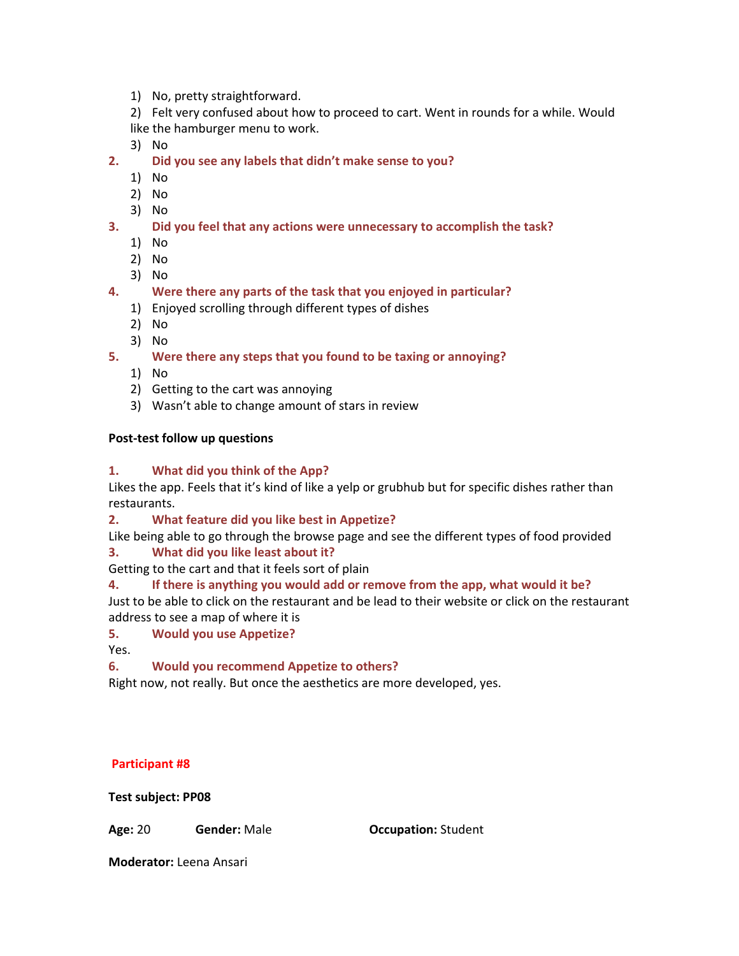1) No, pretty straightforward.

2) Felt very confused about how to proceed to cart. Went in rounds for a while. Would like the hamburger menu to work.

3) No

- **2. Did you see any labels that didn't make sense to you?**
	- 1) No
	- 2) No
	- 3) No
- **3. Did you feel that any actions were unnecessary to accomplish the task?**
	- 1) No
	- 2) No
	- 3) No
- **4. Were there any parts of the task that you enjoyed in particular?**
	- 1) Enjoyed scrolling through different types of dishes
	- 2) No
	- 3) No

**5. Were there any steps that you found to be taxing or annoying?**

- 1) No
- 2) Getting to the cart was annoying
- 3) Wasn't able to change amount of stars in review

### **Post‐test follow up questions**

### **1. What did you think of the App?**

Likes the app. Feels that it's kind of like a yelp or grubhub but for specific dishes rather than restaurants.

### **2. What feature did you like best in Appetize?**

Like being able to go through the browse page and see the different types of food provided **3. What did you like least about it?**

Getting to the cart and that it feels sort of plain

## **4. If there is anything you would add or remove from the app, what would it be?**

Just to be able to click on the restaurant and be lead to their website or click on the restaurant address to see a map of where it is

## **5. Would you use Appetize?**

Yes.

## **6. Would you recommend Appetize to others?**

Right now, not really. But once the aesthetics are more developed, yes.

### **Participant #8**

**Test subject: PP08**

**Age:** 20 **Gender:** Male **Occupation:** Student

**Moderator:** Leena Ansari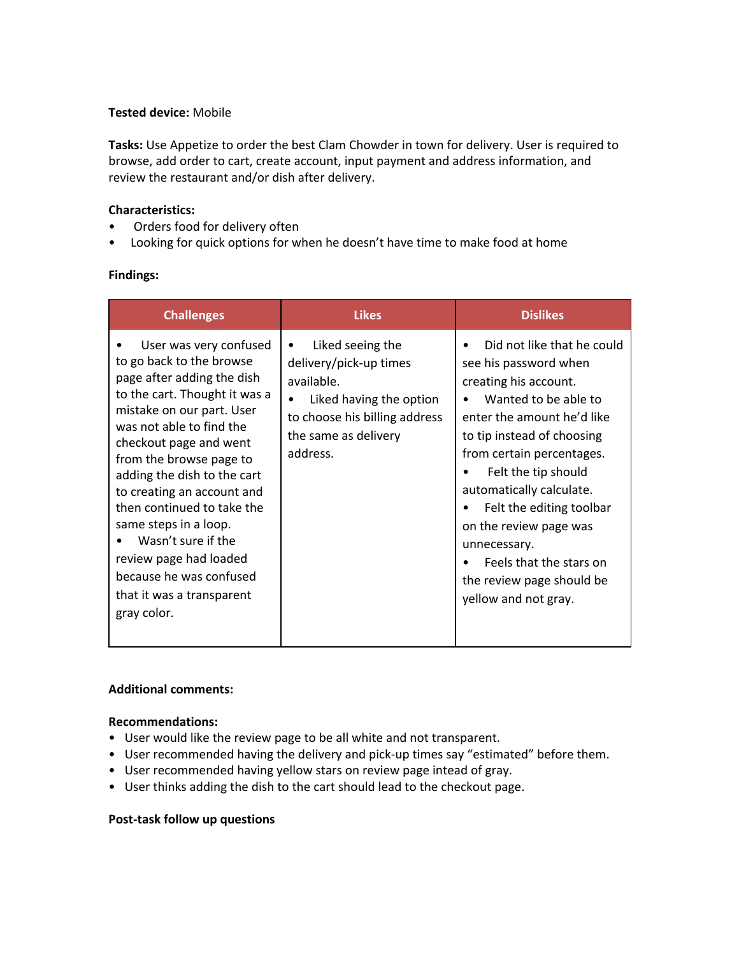### **Tested device:** Mobile

**Tasks:**Use Appetize to order the best Clam Chowder in town for delivery. User is required to browse, add order to cart, create account, input payment and address information, and review the restaurant and/or dish after delivery.

### **Characteristics:**

- Orders food for delivery often
- Looking for quick options for when he doesn't have time to make food at home

### **Findings:**

| <b>Challenges</b>                                                                                                                                                                                                                                                                                                                                                                                                                                                          | <b>Likes</b>                                                                                                                                                          | <b>Dislikes</b>                                                                                                                                                                                                                                                                                                                                                                                        |
|----------------------------------------------------------------------------------------------------------------------------------------------------------------------------------------------------------------------------------------------------------------------------------------------------------------------------------------------------------------------------------------------------------------------------------------------------------------------------|-----------------------------------------------------------------------------------------------------------------------------------------------------------------------|--------------------------------------------------------------------------------------------------------------------------------------------------------------------------------------------------------------------------------------------------------------------------------------------------------------------------------------------------------------------------------------------------------|
| User was very confused<br>to go back to the browse<br>page after adding the dish<br>to the cart. Thought it was a<br>mistake on our part. User<br>was not able to find the<br>checkout page and went<br>from the browse page to<br>adding the dish to the cart<br>to creating an account and<br>then continued to take the<br>same steps in a loop.<br>Wasn't sure if the<br>review page had loaded<br>because he was confused<br>that it was a transparent<br>gray color. | Liked seeing the<br>$\bullet$<br>delivery/pick-up times<br>available.<br>Liked having the option<br>to choose his billing address<br>the same as delivery<br>address. | Did not like that he could<br>see his password when<br>creating his account.<br>Wanted to be able to<br>enter the amount he'd like<br>to tip instead of choosing<br>from certain percentages.<br>Felt the tip should<br>automatically calculate.<br>Felt the editing toolbar<br>on the review page was<br>unnecessary.<br>Feels that the stars on<br>the review page should be<br>yellow and not gray. |

### **Additional comments:**

### **Recommendations:**

- User would like the review page to be all white and not transparent.
- User recommended having the delivery and pick-up times say "estimated" before them.
- User recommended having yellow stars on review page intead of gray.
- User thinks adding the dish to the cart should lead to the checkout page.

### **Post‐task follow up questions**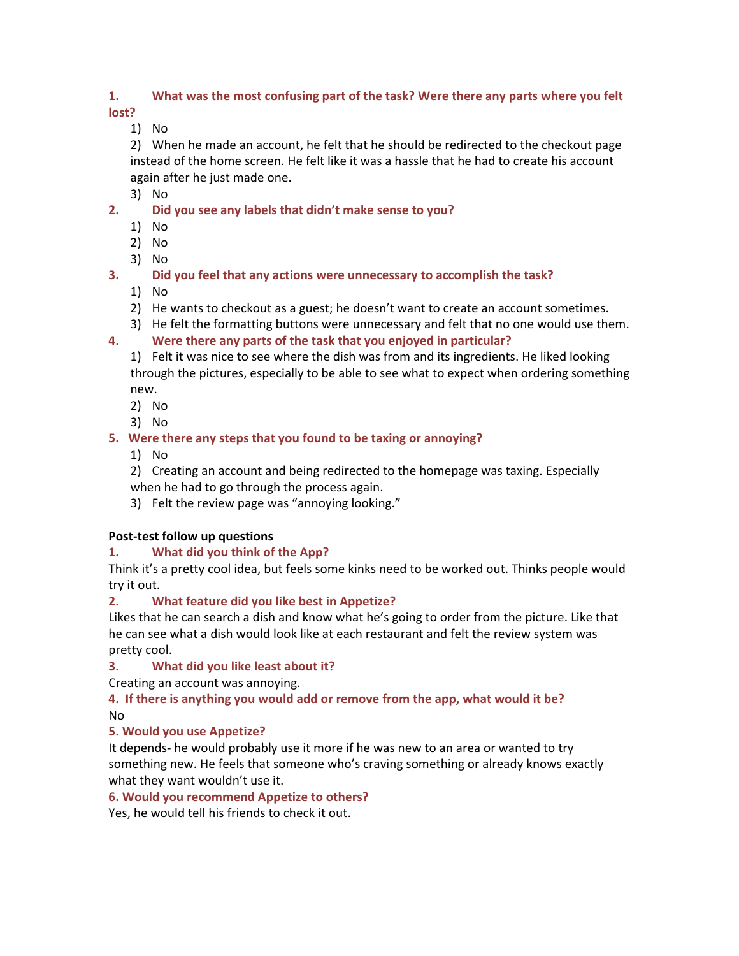### **1. What was the most confusing part of the task? Were there any parts where you felt lost?**

1) No

2) When he made an account, he felt that he should be redirected to the checkout page instead of the home screen. He felt like it was a hassle that he had to create his account again after he just made one.

3) No

- **2. Did you see any labels that didn't make sense to you?**
	- 1) No
	- 2) No
	- 3) No
- **3. Did you feel that any actions were unnecessary to accomplish the task?**
	- 1) No
	- 2) He wants to checkout as a guest; he doesn't want to create an account sometimes.
	- 3) He felt the formatting buttons were unnecessary and felt that no one would use them.
- **4. Were there any parts of the task that you enjoyed in particular?**

1) Felt it was nice to see where the dish was from and its ingredients. He liked looking through the pictures, especially to be able to see what to expect when ordering something new.

- 2) No
- 3) No

## **5. Were there any steps that you found to be taxing or annoying?**

1) No

2) Creating an account and being redirected to the homepage was taxing. Especially when he had to go through the process again.

3) Felt the review page was "annoying looking."

## **Post‐test follow up questions**

## **1. What did you think of the App?**

Think it's a pretty cool idea, but feels some kinks need to be worked out. Thinks people would try it out.

# **2. What feature did you like best in Appetize?**

Likes that he can search a dish and know what he's going to order from the picture. Like that he can see what a dish would look like at each restaurant and felt the review system was pretty cool.

## **3. What did you like least about it?**

Creating an account was annoying.

## **4. If there is anything you would add or remove from the app, what would it be?** No

## **5. Would you use Appetize?**

It depends‐ he would probably use it more if he was new to an area or wanted to try something new. He feels that someone who's craving something or already knows exactly what they want wouldn't use it.

## **6. Would you recommend Appetize to others?**

Yes, he would tell his friends to check it out.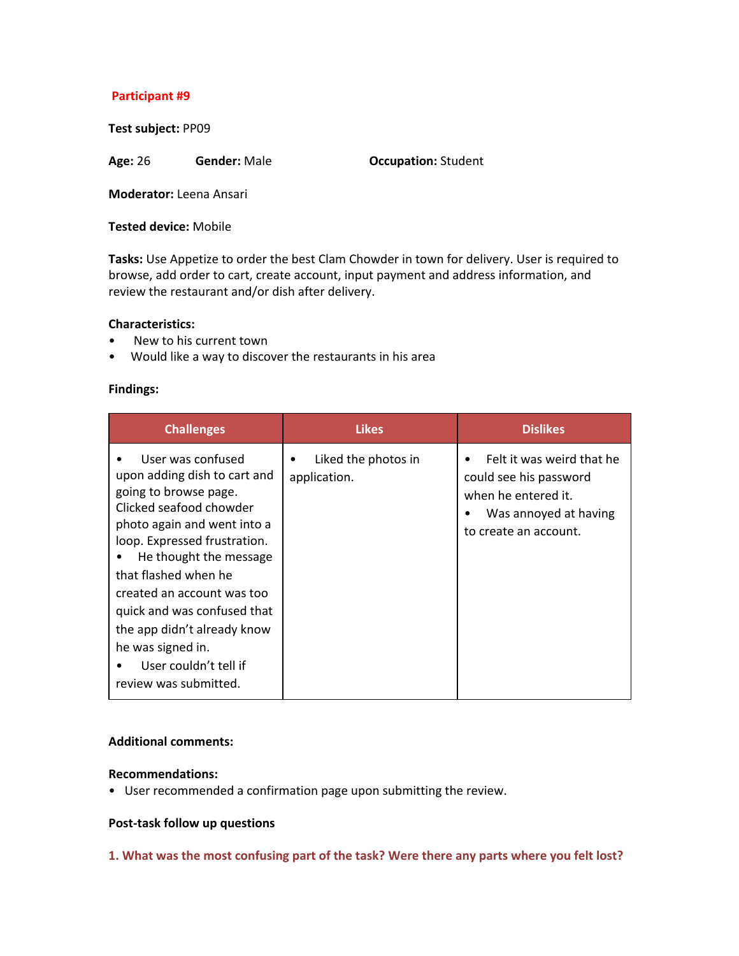### **Participant #9**

**Test subject:** PP09

**Age:** 26 **Gender:** Male **Occupation:**Student

**Moderator:** Leena Ansari

**Tested device:** Mobile

**Tasks:** Use Appetize to order the best Clam Chowder in town for delivery. User is required to browse, add order to cart, create account, input payment and address information, and review the restaurant and/or dish after delivery.

#### **Characteristics:**

- New to his current town
- Would like a way to discover the restaurants in his area

#### **Findings:**

| <b>Challenges</b>                                                                                                                                                                                                                                                                                                                                                                         | <b>Likes</b>                             | <b>Dislikes</b>                                                                                                                        |
|-------------------------------------------------------------------------------------------------------------------------------------------------------------------------------------------------------------------------------------------------------------------------------------------------------------------------------------------------------------------------------------------|------------------------------------------|----------------------------------------------------------------------------------------------------------------------------------------|
| User was confused<br>upon adding dish to cart and<br>going to browse page.<br>Clicked seafood chowder<br>photo again and went into a<br>loop. Expressed frustration.<br>He thought the message<br>that flashed when he<br>created an account was too<br>quick and was confused that<br>the app didn't already know<br>he was signed in.<br>User couldn't tell if<br>review was submitted. | Liked the photos in<br>٠<br>application. | Felt it was weird that he<br>٠<br>could see his password<br>when he entered it.<br>Was annoyed at having<br>٠<br>to create an account. |

#### **Additional comments:**

#### **Recommendations:**

• User recommended a confirmation page upon submitting the review.

### **Post‐task follow up questions**

**1. What was the most confusing part of the task? Were there any parts where you felt lost?**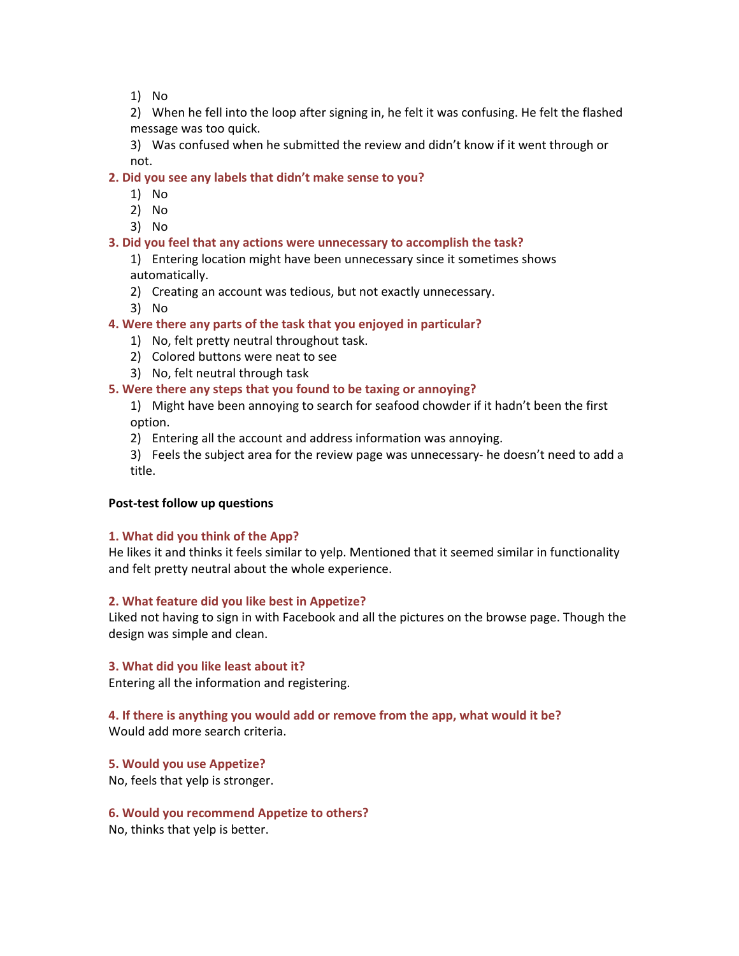1) No

2) When he fell into the loop after signing in, he felt it was confusing. He felt the flashed message was too quick.

3) Was confused when he submitted the review and didn't know if it went through or not.

#### **2. Did you see any labels that didn't make sense to you?**

- 1) No
- 2) No
- 3) No

#### **3. Did you feel that any actions were unnecessary to accomplish the task?**

1) Entering location might have been unnecessary since it sometimes shows automatically.

- 2) Creating an account was tedious, but not exactly unnecessary.
- 3) No

#### **4. Were there any parts of the task that you enjoyed in particular?**

- 1) No, felt pretty neutral throughout task.
- 2) Colored buttons were neat to see
- 3) No, felt neutral through task

#### **5. Were there any steps that you found to be taxing or annoying?**

1) Might have been annoying to search for seafood chowder if it hadn't been the first option.

2) Entering all the account and address information was annoying.

3) Feels the subject area for the review page was unnecessary‐ he doesn't need to add a title.

#### **Post‐test follow up questions**

#### **1. What did you think of the App?**

He likes it and thinks it feels similar to yelp. Mentioned that it seemed similar in functionality and felt pretty neutral about the whole experience.

#### **2. What feature did you like best in Appetize?**

Liked not having to sign in with Facebook and all the pictures on the browse page. Though the design was simple and clean.

#### **3. What did you like least about it?**

Entering all the information and registering.

#### **4. If there is anything you would add or remove from the app, what would it be?**

Would add more search criteria.

#### **5. Would you use Appetize?**

No, feels that yelp is stronger.

#### **6. Would you recommend Appetize to others?**

No, thinks that yelp is better.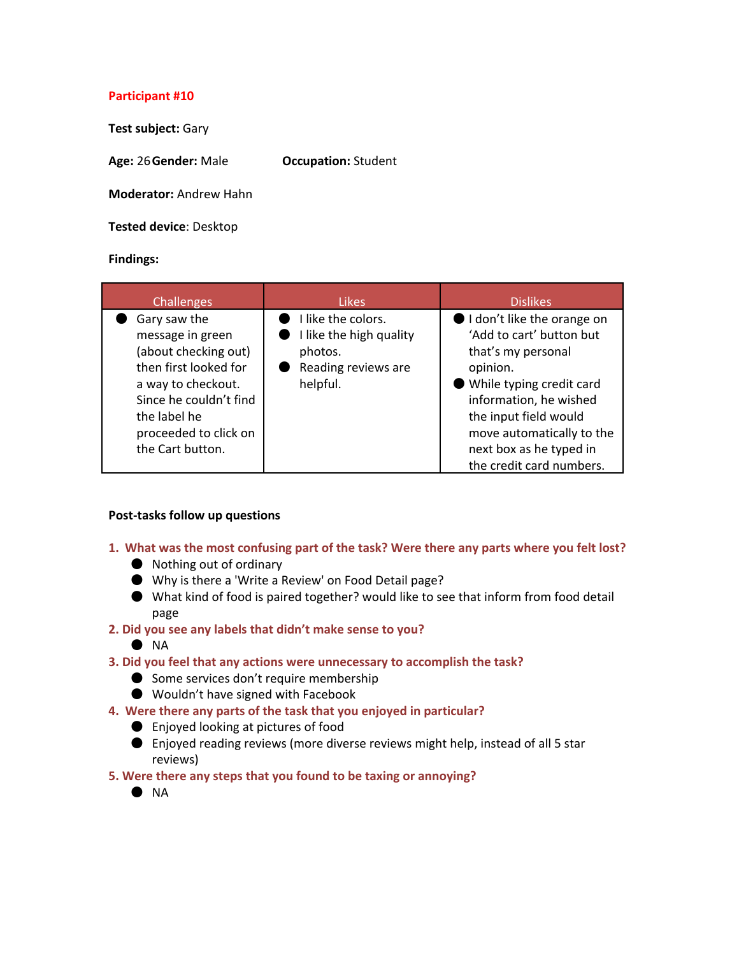### **Participant #10**

**Test subject:**Gary

**Age:**26**Gender:**Male **Occupation:**Student

**Moderator:**Andrew Hahn

**Tested device**: Desktop

### **Findings:**

| <b>Challenges</b>                                                                                                                                                                              | <b>Likes</b>                                                                                | <b>Dislikes</b>                                                                                                                                                                                                                                             |
|------------------------------------------------------------------------------------------------------------------------------------------------------------------------------------------------|---------------------------------------------------------------------------------------------|-------------------------------------------------------------------------------------------------------------------------------------------------------------------------------------------------------------------------------------------------------------|
| Gary saw the<br>message in green<br>(about checking out)<br>then first looked for<br>a way to checkout.<br>Since he couldn't find<br>the label he<br>proceeded to click on<br>the Cart button. | I like the colors.<br>I like the high quality<br>photos.<br>Reading reviews are<br>helpful. | I don't like the orange on<br>'Add to cart' button but<br>that's my personal<br>opinion.<br>While typing credit card<br>information, he wished<br>the input field would<br>move automatically to the<br>next box as he typed in<br>the credit card numbers. |

### **Post‐tasks follow up questions**

- **1. What was the most confusing part of the task? Were there any parts where you felt lost?**
	- Nothing out of ordinary
	- Why is there a 'Write a Review' on Food Detail page?
	- What kind of food is paired together? would like to see that inform from food detail page
- **2. Did you see any labels that didn't make sense to you?**
	- NA
- **3. Did you feel that any actions were unnecessary to accomplish the task?**
	- Some services don't require membership
	- Wouldn't have signed with Facebook
- **4. Were there any parts of the task that you enjoyed in particular?**
	- Enjoyed looking at pictures of food
	- Enjoyed reading reviews (more diverse reviews might help, instead of all 5 star reviews)
- **5. Were there any steps that you found to be taxing or annoying?**
	- $\bullet$  NA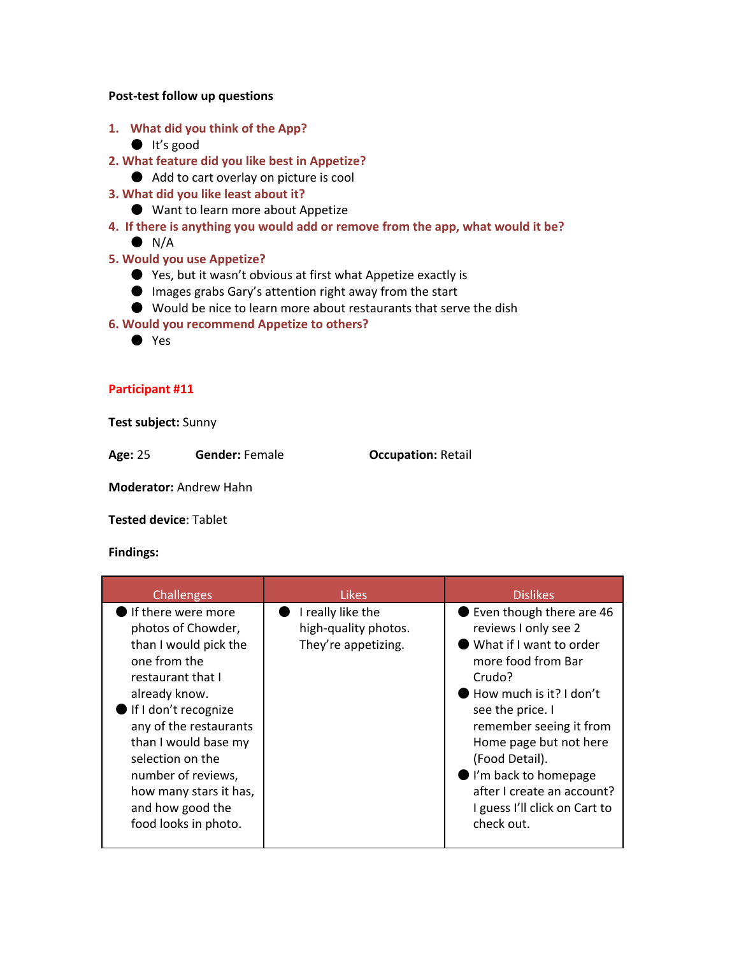#### **Post‐test follow up questions**

- **1. What did you think of the App?**
	- It's good
- **2. What feature did you like best in Appetize?**
	- Add to cart overlay on picture is cool
- **3. What did you like least about it?**
	- Want to learn more about Appetize
- **4. If there is anything you would add or remove from the app, what would it be?**
	- $\bullet$  N/A
- **5. Would you use Appetize?**
	- Yes, but it wasn't obvious at first what Appetize exactly is
	- Images grabs Gary's attention right away from the start
	- Would be nice to learn more about restaurants that serve the dish
- **6. Would you recommend Appetize to others?**
	- Yes

### **Participant #11**

**Test subject:** Sunny

**Age:**25 **Gender:**Female **Occupation:**Retail

**Moderator:**Andrew Hahn

**Tested device**: Tablet

| Challenges                                                                                                                                                                                                                                                                                                        | <b>Likes</b>                                                     | <b>Dislikes</b>                                                                                                                                                                                                                                                                                                                                    |
|-------------------------------------------------------------------------------------------------------------------------------------------------------------------------------------------------------------------------------------------------------------------------------------------------------------------|------------------------------------------------------------------|----------------------------------------------------------------------------------------------------------------------------------------------------------------------------------------------------------------------------------------------------------------------------------------------------------------------------------------------------|
| If there were more<br>photos of Chowder,<br>than I would pick the<br>one from the<br>restaurant that I<br>already know.<br>If I don't recognize<br>any of the restaurants<br>than I would base my<br>selection on the<br>number of reviews,<br>how many stars it has,<br>and how good the<br>food looks in photo. | I really like the<br>high-quality photos.<br>They're appetizing. | ● Even though there are 46<br>reviews I only see 2<br>What if I want to order<br>more food from Bar<br>Crudo?<br>How much is it? I don't<br>see the price. I<br>remember seeing it from<br>Home page but not here<br>(Food Detail).<br>$\bullet$ I'm back to homepage<br>after I create an account?<br>I guess I'll click on Cart to<br>check out. |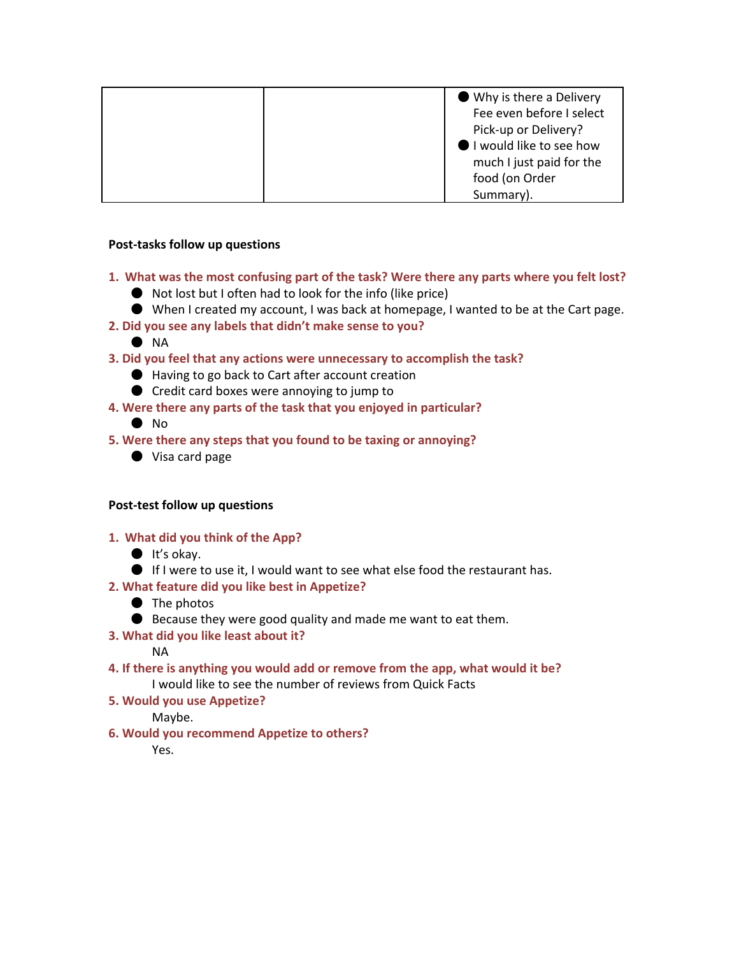| ● Why is there a Delivery |
|---------------------------|
| Fee even before I select  |
| Pick-up or Delivery?      |
| I would like to see how   |
| much I just paid for the  |
| food (on Order            |
| Summary).                 |

### **Post‐tasks follow up questions**

- **1. What was the most confusing part of the task? Were there any parts where you felt lost?**
	- Not lost but I often had to look for the info (like price)
	- When I created my account, I was back at homepage, I wanted to be at the Cart page.
- **2. Did you see any labels that didn't make sense to you?**
	- NA
- **3. Did you feel that any actions were unnecessary to accomplish the task?**
	- Having to go back to Cart after account creation
	- Credit card boxes were annoying to jump to
- **4. Were there any parts of the task that you enjoyed in particular?**
	- No
- **5. Were there any steps that you found to be taxing or annoying?**
	- Visa card page

### **Post‐test follow up questions**

- **1. What did you think of the App?**
	- $\bullet$  It's okay.
	- If I were to use it, I would want to see what else food the restaurant has.
- **2. What feature did you like best in Appetize?**
	- The photos
	- Because they were good quality and made me want to eat them.
- **3. What did you like least about it?**

### NA

- **4. If there is anything you would add or remove from the app, what would it be?** I would like to see the number of reviews from Quick Facts
- **5. Would you use Appetize?**

Maybe.

**6. Would you recommend Appetize to others?**

Yes.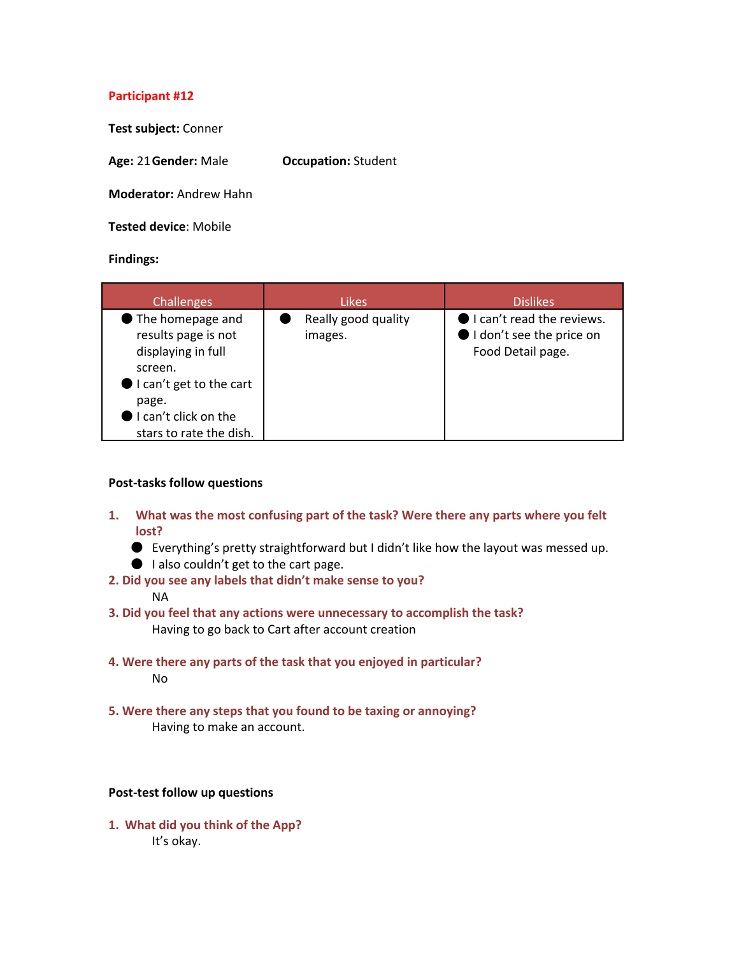### **Participant #12**

**Test subject: Conner** 

**Age:**21**Gender:**Male **Occupation:**Student

**Moderator:**Andrew Hahn

**Tested device**: Mobile

#### **Findings:**

| <b>Challenges</b>                                                                                                                                                                   | <b>Likes</b>                   | <b>Dislikes</b>                                                            |
|-------------------------------------------------------------------------------------------------------------------------------------------------------------------------------------|--------------------------------|----------------------------------------------------------------------------|
| The homepage and<br>results page is not<br>displaying in full<br>screen.<br>$\bullet$ I can't get to the cart<br>page.<br>$\bullet$ I can't click on the<br>stars to rate the dish. | Really good quality<br>images. | I can't read the reviews.<br>I don't see the price on<br>Food Detail page. |

#### **Post‐tasks follow questions**

- **1. What was the most confusing part of the task? Were there any parts where you felt lost?**
	- Everything's pretty straightforward but I didn't like how the layout was messed up.
	- I also couldn't get to the cart page.
- **2. Did you see any labels that didn't make sense to you?**

#### NA

- **3. Did you feel that any actions were unnecessary to accomplish the task?** Having to go back to Cart after account creation
- **4. Were there any parts of the task that you enjoyed in particular?** No
- **5. Were there any steps that you found to be taxing or annoying?** Having to make an account.

#### **Post‐test follow up questions**

**1. What did you think of the App?** It's okay.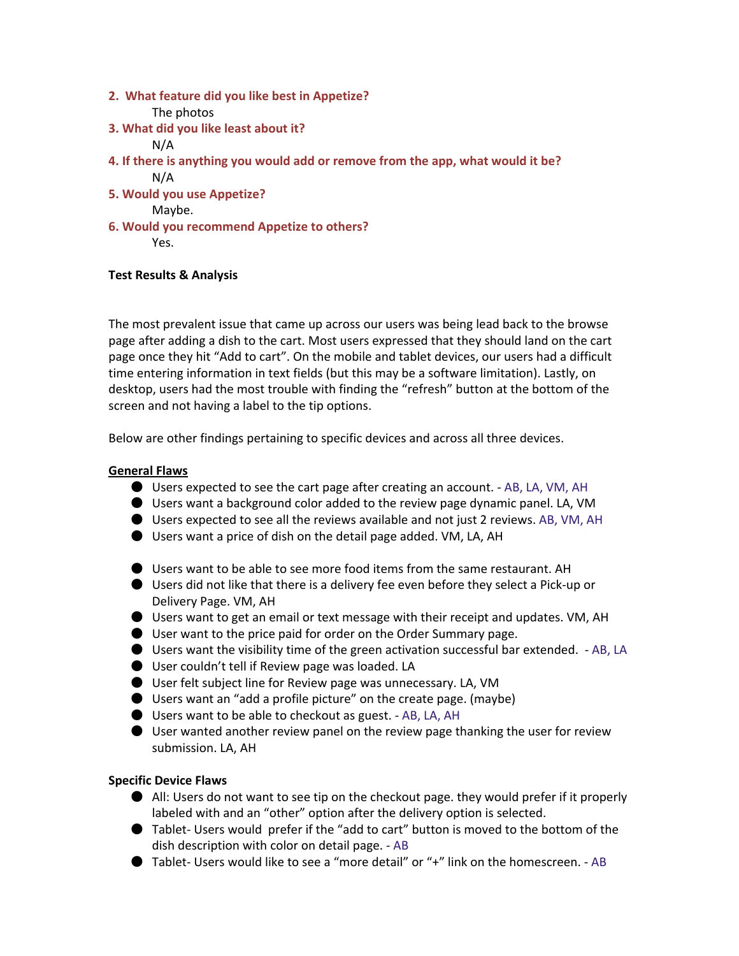**2. What feature did you like best in Appetize?**

The photos

- **3. What did you like least about it?** N/A
- **4. If there is anything you would add or remove from the app, what would it be?** N/A
- **5. Would you use Appetize?**

Maybe.

**6. Would you recommend Appetize to others?** Yes.

# **Test Results & Analysis**

The most prevalent issue that came up across our users was being lead back to the browse page after adding a dish to the cart. Most users expressed that they should land on the cart page once they hit "Add to cart". On the mobile and tablet devices, our users had a difficult time entering information in text fields (but this may be a software limitation). Lastly, on desktop, users had the most trouble with finding the "refresh" button at the bottom of the screen and not having a label to the tip options.

Below are other findings pertaining to specific devices and across all three devices.

# **General Flaws**

- Users expected to see the cart page after creating an account.  $-$  AB, LA, VM, AH
- Users want a background color added to the review page dynamic panel. LA, VM
- Users expected to see all the reviews available and not just 2 reviews. AB, VM, AH
- Users want a price of dish on the detail page added. VM, LA, AH
- Users want to be able to see more food items from the same restaurant. AH
- Users did not like that there is a delivery fee even before they select a Pick-up or Delivery Page. VM, AH
- Users want to get an email or text message with their receipt and updates. VM, AH
- User want to the price paid for order on the Order Summary page.
- Users want the visibility time of the green activation successful bar extended. AB, LA
- User couldn't tell if Review page was loaded. LA
- User felt subject line for Review page was unnecessary. LA, VM
- Users want an "add a profile picture" on the create page. (maybe)
- Users want to be able to checkout as guest. AB, LA, AH
- $\bullet$  User wanted another review panel on the review page thanking the user for review submission. LA, AH

## **Specific Device Flaws**

- All: Users do not want to see tip on the checkout page. they would prefer if it properly labeled with and an "other" option after the delivery option is selected.
- Tablet- Users would prefer if the "add to cart" button is moved to the bottom of the dish description with color on detail page. ‐ AB
- Tablet- Users would like to see a "more detail" or "+" link on the homescreen. AB